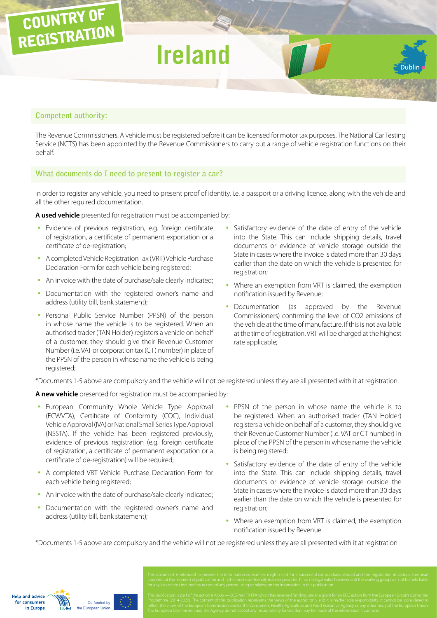# **Competent authority:**

COUNTRY OF

REGISTRATION

The Revenue Commissioners. A vehicle must be registered before it can be licensed for motor tax purposes. The National Car Testing Service (NCTS) has been appointed by the Revenue Commissioners to carry out a range of vehicle registration functions on their behalf.

**Ireland**

# **What documents do I need to present to register a car?**

In order to register any vehicle, you need to present proof of identity, i.e. a passport or a driving licence, along with the vehicle and all the other required documentation.

**A used vehicle** presented for registration must be accompanied by:

- Evidence of previous registration, e.g. foreign certificate of registration, a certificate of permanent exportation or a certificate of de-registration;
- A completed Vehicle Registration Tax (VRT) Vehicle Purchase Declaration Form for each vehicle being registered;
- An invoice with the date of purchase/sale clearly indicated;
- Documentation with the registered owner's name and address (utility bill, bank statement);
- Personal Public Service Number (PPSN) of the person in whose name the vehicle is to be registered. When an authorised trader (TAN Holder) registers a vehicle on behalf of a customer, they should give their Revenue Customer Number (i.e. VAT or corporation tax (CT) number) in place of the PPSN of the person in whose name the vehicle is being registered;
- Satisfactory evidence of the date of entry of the vehicle into the State. This can include shipping details, travel documents or evidence of vehicle storage outside the State in cases where the invoice is dated more than 30 days earlier than the date on which the vehicle is presented for registration;
- Where an exemption from VRT is claimed, the exemption notification issued by Revenue;
- Documentation (as approved by the Revenue Commissioners) confirming the level of CO2 emissions of the vehicle at the time of manufacture. If this is not available at the time of registration, VRT will be charged at the highest rate applicable;

\*Documents 1-5 above are compulsory and the vehicle will not be registered unless they are all presented with it at registration.

**A new vehicle** presented for registration must be accompanied by:

- European Community Whole Vehicle Type Approval (ECWVTA), Certificate of Conformity (COC), Individual Vehicle Approval (IVA) or National Small Series Type Approval (NSSTA). If the vehicle has been registered previously, evidence of previous registration (e.g. foreign certificate of registration, a certificate of permanent exportation or a certificate of de-registration) will be required;
- A completed VRT Vehicle Purchase Declaration Form for each vehicle being registered;
- An invoice with the date of purchase/sale clearly indicated:
- Documentation with the registered owner's name and address (utility bill, bank statement);

Co-funded by uropean Union

**Help and advice** for consumers in Europe

- PPSN of the person in whose name the vehicle is to be registered. When an authorised trader (TAN Holder) registers a vehicle on behalf of a customer, they should give their Revenue Customer Number (i.e. VAT or CT number) in place of the PPSN of the person in whose name the vehicle is being registered;
- Satisfactory evidence of the date of entry of the vehicle into the State. This can include shipping details, travel documents or evidence of vehicle storage outside the State in cases where the invoice is dated more than 30 days earlier than the date on which the vehicle is presented for registration;
- Where an exemption from VRT is claimed, the exemption notification issued by Revenue.

\*Documents 1-5 above are compulsory and the vehicle will not be registered unless they are all presented with it at registration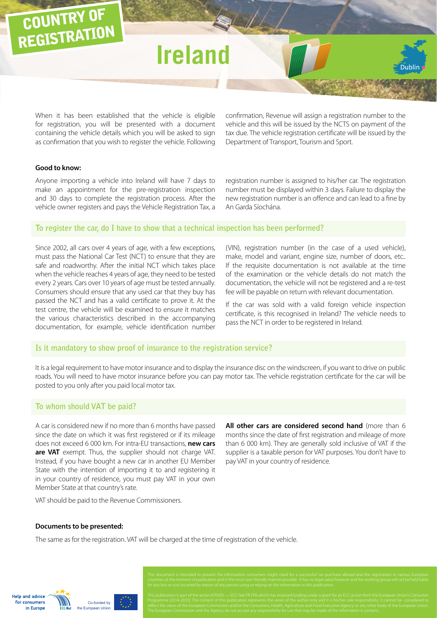# **Ireland**

When it has been established that the vehicle is eligible for registration, you will be presented with a document containing the vehicle details which you will be asked to sign as confirmation that you wish to register the vehicle. Following confirmation, Revenue will assign a registration number to the vehicle and this will be issued by the NCTS on payment of the tax due. The vehicle registration certificate will be issued by the Department of Transport, Tourism and Sport.

## **Good to know:**

COUNTRY OF

REGISTRATION

Anyone importing a vehicle into Ireland will have 7 days to make an appointment for the pre-registration inspection and 30 days to complete the registration process. After the vehicle owner registers and pays the Vehicle Registration Tax, a registration number is assigned to his/her car. The registration number must be displayed within 3 days. Failure to display the new registration number is an offence and can lead to a fine by An Garda Síochána.

## **To register the car, do I have to show that a technical inspection has been performed?**

Since 2002, all cars over 4 years of age, with a few exceptions, must pass the National Car Test (NCT) to ensure that they are safe and roadworthy. After the initial NCT which takes place when the vehicle reaches 4 years of age, they need to be tested every 2 years. Cars over 10 years of age must be tested annually. Consumers should ensure that any used car that they buy has passed the NCT and has a valid certificate to prove it. At the test centre, the vehicle will be examined to ensure it matches the various characteristics described in the accompanying documentation, for example, vehicle identification number

(VIN), registration number (in the case of a used vehicle), make, model and variant, engine size, number of doors, etc.. If the requisite documentation is not available at the time of the examination or the vehicle details do not match the documentation, the vehicle will not be registered and a re-test fee will be payable on return with relevant documentation.

If the car was sold with a valid foreign vehicle inspection certificate, is this recognised in Ireland? The vehicle needs to pass the NCT in order to be registered in Ireland.

#### **Is it mandatory to show proof of insurance to the registration service?**

It is a legal requirement to have motor insurance and to display the insurance disc on the windscreen, if you want to drive on public roads. You will need to have motor insurance before you can pay motor tax. The vehicle registration certificate for the car will be posted to you only after you paid local motor tax.

# **To whom should VAT be paid?**

A car is considered new if no more than 6 months have passed since the date on which it was first registered or if its mileage does not exceed 6 000 km. For intra-EU transactions, **new cars are VAT** exempt. Thus, the supplier should not charge VAT. Instead, if you have bought a new car in another EU Member State with the intention of importing it to and registering it in your country of residence, you must pay VAT in your own Member State at that country's rate.

**All other cars are considered second hand** (more than 6 months since the date of first registration and mileage of more than 6 000 km). They are generally sold inclusive of VAT if the supplier is a taxable person for VAT purposes. You don't have to pay VAT in your country of residence.

VAT should be paid to the Revenue Commissioners.

## **Documents to be presented:**

The same as for the registration. VAT will be charged at the time of registration of the vehicle.